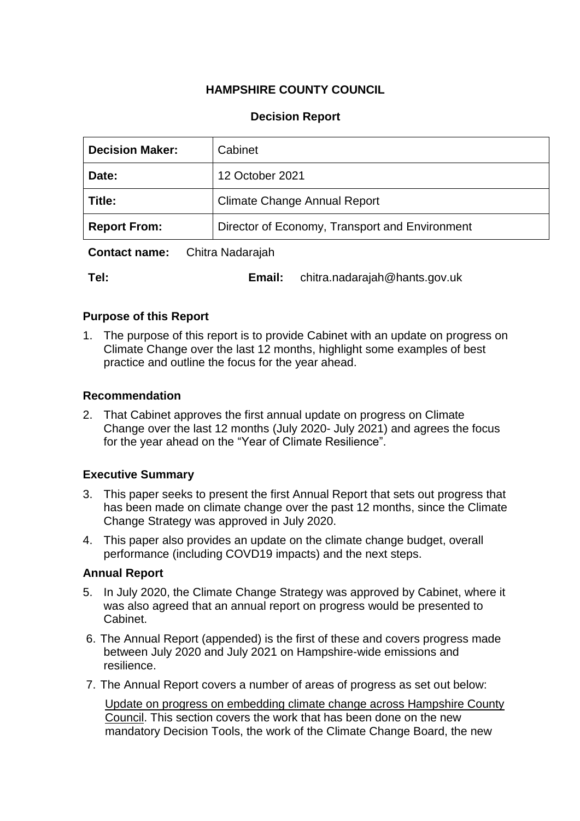# **HAMPSHIRE COUNTY COUNCIL**

### **Decision Report**

| <b>Decision Maker:</b> | Cabinet                                        |
|------------------------|------------------------------------------------|
| Date:                  | 12 October 2021                                |
| Title:                 | <b>Climate Change Annual Report</b>            |
| <b>Report From:</b>    | Director of Economy, Transport and Environment |

**Contact name:** Chitra Nadarajah

**Tel: Email:** chitra.nadarajah@hants.gov.uk

### **Purpose of this Report**

1. The purpose of this report is to provide Cabinet with an update on progress on Climate Change over the last 12 months, highlight some examples of best practice and outline the focus for the year ahead.

### **Recommendation**

2. That Cabinet approves the first annual update on progress on Climate Change over the last 12 months (July 2020- July 2021) and agrees the focus for the year ahead on the "Year of Climate Resilience".

## **Executive Summary**

- 3. This paper seeks to present the first Annual Report that sets out progress that has been made on climate change over the past 12 months, since the Climate Change Strategy was approved in July 2020.
- 4. This paper also provides an update on the climate change budget, overall performance (including COVD19 impacts) and the next steps.

### **Annual Report**

- 5. In July 2020, the Climate Change Strategy was approved by Cabinet, where it was also agreed that an annual report on progress would be presented to Cabinet.
- 6. The Annual Report (appended) is the first of these and covers progress made between July 2020 and July 2021 on Hampshire-wide emissions and resilience.
- 7. The Annual Report covers a number of areas of progress as set out below:

Update on progress on embedding climate change across Hampshire County Council. This section covers the work that has been done on the new mandatory Decision Tools, the work of the Climate Change Board, the new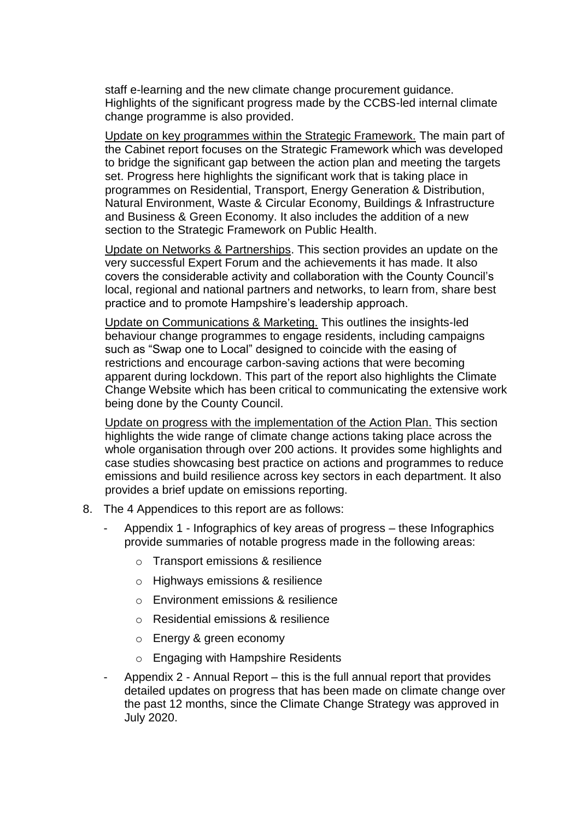staff e-learning and the new climate change procurement guidance. Highlights of the significant progress made by the CCBS-led internal climate change programme is also provided.

Update on key programmes within the Strategic Framework. The main part of the Cabinet report focuses on the Strategic Framework which was developed to bridge the significant gap between the action plan and meeting the targets set. Progress here highlights the significant work that is taking place in programmes on Residential, Transport, Energy Generation & Distribution, Natural Environment, Waste & Circular Economy, Buildings & Infrastructure and Business & Green Economy. It also includes the addition of a new section to the Strategic Framework on Public Health.

Update on Networks & Partnerships. This section provides an update on the very successful Expert Forum and the achievements it has made. It also covers the considerable activity and collaboration with the County Council's local, regional and national partners and networks, to learn from, share best practice and to promote Hampshire's leadership approach.

Update on Communications & Marketing. This outlines the insights-led behaviour change programmes to engage residents, including campaigns such as "Swap one to Local" designed to coincide with the easing of restrictions and encourage carbon-saving actions that were becoming apparent during lockdown. This part of the report also highlights the Climate Change Website which has been critical to communicating the extensive work being done by the County Council.

Update on progress with the implementation of the Action Plan. This section highlights the wide range of climate change actions taking place across the whole organisation through over 200 actions. It provides some highlights and case studies showcasing best practice on actions and programmes to reduce emissions and build resilience across key sectors in each department. It also provides a brief update on emissions reporting.

- 8. The 4 Appendices to this report are as follows:
	- Appendix 1 Infographics of key areas of progress these Infographics provide summaries of notable progress made in the following areas:
		- o Transport emissions & resilience
		- o Highways emissions & resilience
		- o Environment emissions & resilience
		- o Residential emissions & resilience
		- o Energy & green economy
		- o Engaging with Hampshire Residents
	- Appendix 2 Annual Report this is the full annual report that provides detailed updates on progress that has been made on climate change over the past 12 months, since the Climate Change Strategy was approved in July 2020.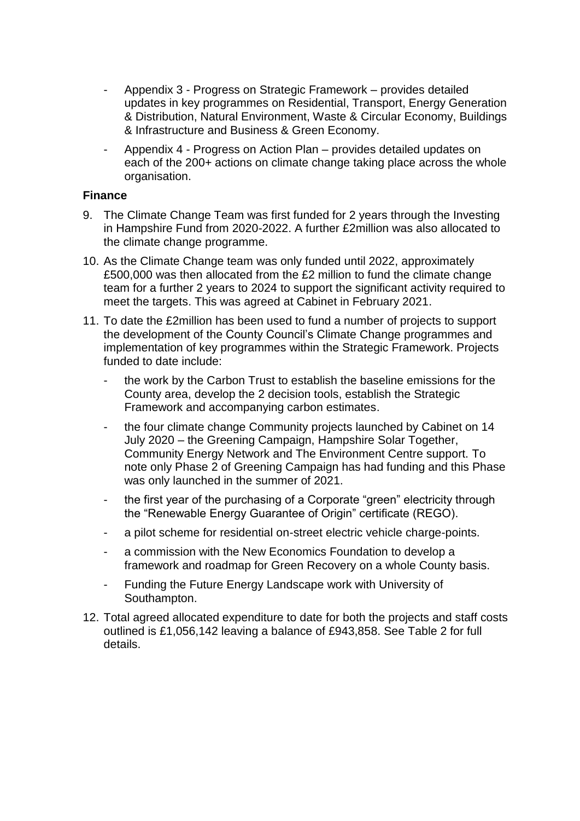- Appendix 3 Progress on Strategic Framework provides detailed updates in key programmes on Residential, Transport, Energy Generation & Distribution, Natural Environment, Waste & Circular Economy, Buildings & Infrastructure and Business & Green Economy.
- Appendix 4 Progress on Action Plan provides detailed updates on each of the 200+ actions on climate change taking place across the whole organisation.

#### **Finance**

- 9. The Climate Change Team was first funded for 2 years through the Investing in Hampshire Fund from 2020-2022. A further £2million was also allocated to the climate change programme.
- 10. As the Climate Change team was only funded until 2022, approximately £500,000 was then allocated from the £2 million to fund the climate change team for a further 2 years to 2024 to support the significant activity required to meet the targets. This was agreed at Cabinet in February 2021.
- 11. To date the £2million has been used to fund a number of projects to support the development of the County Council's Climate Change programmes and implementation of key programmes within the Strategic Framework. Projects funded to date include:
	- the work by the Carbon Trust to establish the baseline emissions for the County area, develop the 2 decision tools, establish the Strategic Framework and accompanying carbon estimates.
	- the four climate change Community projects launched by Cabinet on 14 July 2020 – the Greening Campaign, Hampshire Solar Together, Community Energy Network and The Environment Centre support. To note only Phase 2 of Greening Campaign has had funding and this Phase was only launched in the summer of 2021.
	- the first year of the purchasing of a Corporate "green" electricity through the "Renewable Energy Guarantee of Origin" certificate (REGO).
	- a pilot scheme for residential on-street electric vehicle charge-points.
	- a commission with the New Economics Foundation to develop a framework and roadmap for Green Recovery on a whole County basis.
	- Funding the Future Energy Landscape work with University of Southampton.
- 12. Total agreed allocated expenditure to date for both the projects and staff costs outlined is £1,056,142 leaving a balance of £943,858. See Table 2 for full details.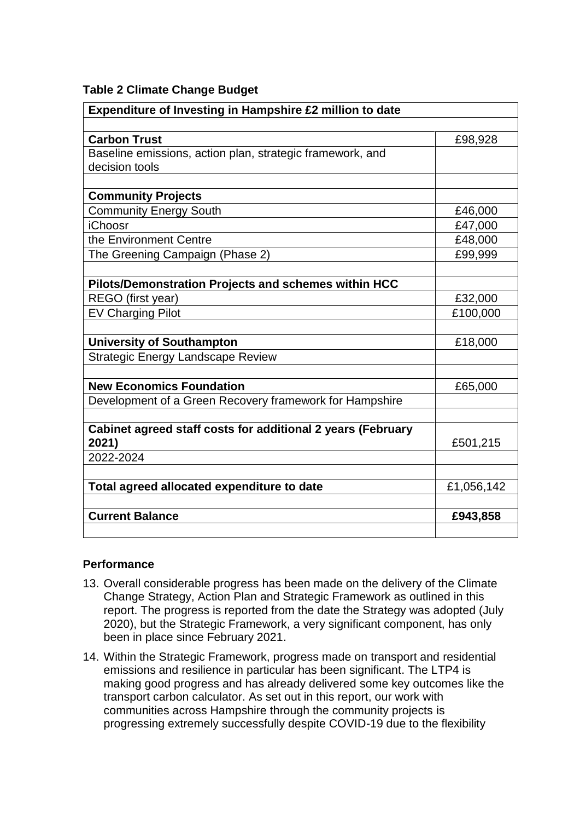| Expenditure of Investing in Hampshire £2 million to date    |            |  |
|-------------------------------------------------------------|------------|--|
|                                                             |            |  |
| <b>Carbon Trust</b>                                         | £98,928    |  |
| Baseline emissions, action plan, strategic framework, and   |            |  |
| decision tools                                              |            |  |
|                                                             |            |  |
| <b>Community Projects</b>                                   |            |  |
| <b>Community Energy South</b>                               | £46,000    |  |
| <b>iChoosr</b>                                              | £47,000    |  |
| the Environment Centre                                      | £48,000    |  |
| The Greening Campaign (Phase 2)                             | £99,999    |  |
| Pilots/Demonstration Projects and schemes within HCC        |            |  |
| REGO (first year)                                           | £32,000    |  |
| <b>EV Charging Pilot</b>                                    | £100,000   |  |
|                                                             |            |  |
| <b>University of Southampton</b>                            | £18,000    |  |
| <b>Strategic Energy Landscape Review</b>                    |            |  |
|                                                             |            |  |
| <b>New Economics Foundation</b>                             | £65,000    |  |
| Development of a Green Recovery framework for Hampshire     |            |  |
| Cabinet agreed staff costs for additional 2 years (February |            |  |
| 2021)                                                       | £501,215   |  |
| 2022-2024                                                   |            |  |
|                                                             |            |  |
| Total agreed allocated expenditure to date                  | £1,056,142 |  |
| <b>Current Balance</b>                                      | £943,858   |  |
|                                                             |            |  |

### **Performance**

- 13. Overall considerable progress has been made on the delivery of the Climate Change Strategy, Action Plan and Strategic Framework as outlined in this report. The progress is reported from the date the Strategy was adopted (July 2020), but the Strategic Framework, a very significant component, has only been in place since February 2021.
- 14. Within the Strategic Framework, progress made on transport and residential emissions and resilience in particular has been significant. The LTP4 is making good progress and has already delivered some key outcomes like the transport carbon calculator. As set out in this report, our work with communities across Hampshire through the community projects is progressing extremely successfully despite COVID-19 due to the flexibility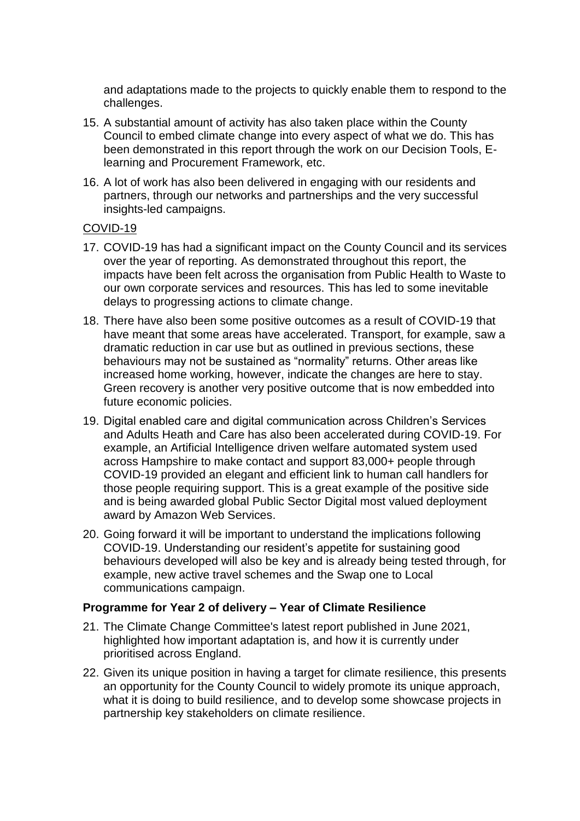and adaptations made to the projects to quickly enable them to respond to the challenges.

- 15. A substantial amount of activity has also taken place within the County Council to embed climate change into every aspect of what we do. This has been demonstrated in this report through the work on our Decision Tools, Elearning and Procurement Framework, etc.
- 16. A lot of work has also been delivered in engaging with our residents and partners, through our networks and partnerships and the very successful insights-led campaigns.

#### COVID-19

- 17. COVID-19 has had a significant impact on the County Council and its services over the year of reporting. As demonstrated throughout this report, the impacts have been felt across the organisation from Public Health to Waste to our own corporate services and resources. This has led to some inevitable delays to progressing actions to climate change.
- 18. There have also been some positive outcomes as a result of COVID-19 that have meant that some areas have accelerated. Transport, for example, saw a dramatic reduction in car use but as outlined in previous sections, these behaviours may not be sustained as "normality" returns. Other areas like increased home working, however, indicate the changes are here to stay. Green recovery is another very positive outcome that is now embedded into future economic policies.
- 19. Digital enabled care and digital communication across Children's Services and Adults Heath and Care has also been accelerated during COVID-19. For example, an Artificial Intelligence driven welfare automated system used across Hampshire to make contact and support 83,000+ people through COVID-19 provided an elegant and efficient link to human call handlers for those people requiring support. This is a great example of the positive side and is being awarded global Public Sector Digital most valued deployment award by Amazon Web Services.
- 20. Going forward it will be important to understand the implications following COVID-19. Understanding our resident's appetite for sustaining good behaviours developed will also be key and is already being tested through, for example, new active travel schemes and the Swap one to Local communications campaign.

### **Programme for Year 2 of delivery – Year of Climate Resilience**

- 21. The Climate Change Committee's latest report published in June 2021, highlighted how important adaptation is, and how it is currently under prioritised across England.
- 22. Given its unique position in having a target for climate resilience, this presents an opportunity for the County Council to widely promote its unique approach, what it is doing to build resilience, and to develop some showcase projects in partnership key stakeholders on climate resilience.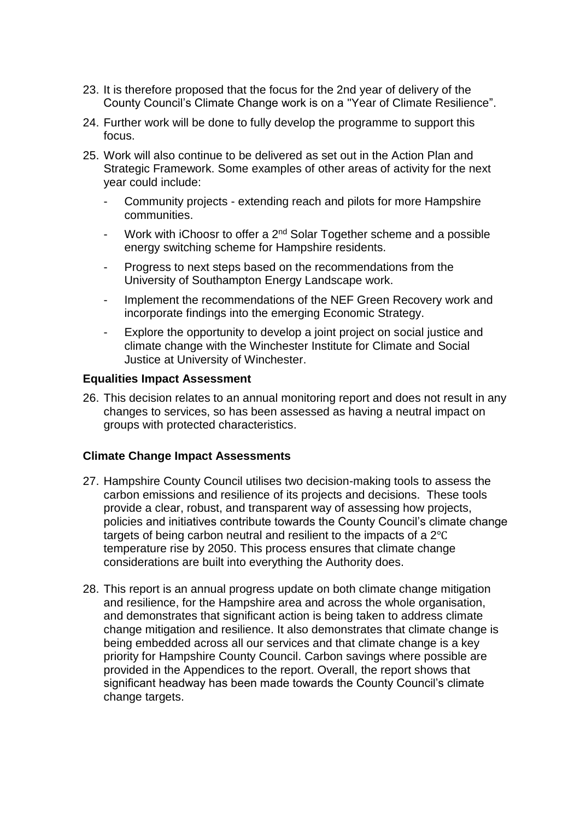- 23. It is therefore proposed that the focus for the 2nd year of delivery of the County Council's Climate Change work is on a "Year of Climate Resilience".
- 24. Further work will be done to fully develop the programme to support this focus.
- 25. Work will also continue to be delivered as set out in the Action Plan and Strategic Framework. Some examples of other areas of activity for the next year could include:
	- Community projects extending reach and pilots for more Hampshire communities.
	- Work with iChoosr to offer a  $2^{nd}$  Solar Together scheme and a possible energy switching scheme for Hampshire residents.
	- Progress to next steps based on the recommendations from the University of Southampton Energy Landscape work.
	- Implement the recommendations of the NEF Green Recovery work and incorporate findings into the emerging Economic Strategy.
	- Explore the opportunity to develop a joint project on social justice and climate change with the Winchester Institute for Climate and Social Justice at University of Winchester.

### **Equalities Impact Assessment**

26. This decision relates to an annual monitoring report and does not result in any changes to services, so has been assessed as having a neutral impact on groups with protected characteristics.

### **Climate Change Impact Assessments**

- 27. Hampshire County Council utilises two decision-making tools to assess the carbon emissions and resilience of its projects and decisions. These tools provide a clear, robust, and transparent way of assessing how projects, policies and initiatives contribute towards the County Council's climate change targets of being carbon neutral and resilient to the impacts of a 2℃ temperature rise by 2050. This process ensures that climate change considerations are built into everything the Authority does.
- 28. This report is an annual progress update on both climate change mitigation and resilience, for the Hampshire area and across the whole organisation, and demonstrates that significant action is being taken to address climate change mitigation and resilience. It also demonstrates that climate change is being embedded across all our services and that climate change is a key priority for Hampshire County Council. Carbon savings where possible are provided in the Appendices to the report. Overall, the report shows that significant headway has been made towards the County Council's climate change targets.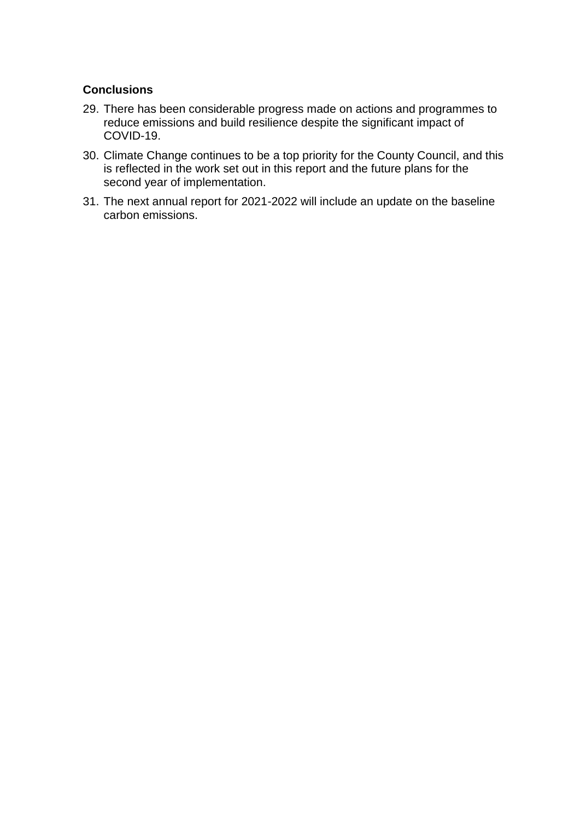## **Conclusions**

- 29. There has been considerable progress made on actions and programmes to reduce emissions and build resilience despite the significant impact of COVID-19.
- 30. Climate Change continues to be a top priority for the County Council, and this is reflected in the work set out in this report and the future plans for the second year of implementation.
- 31. The next annual report for 2021-2022 will include an update on the baseline carbon emissions.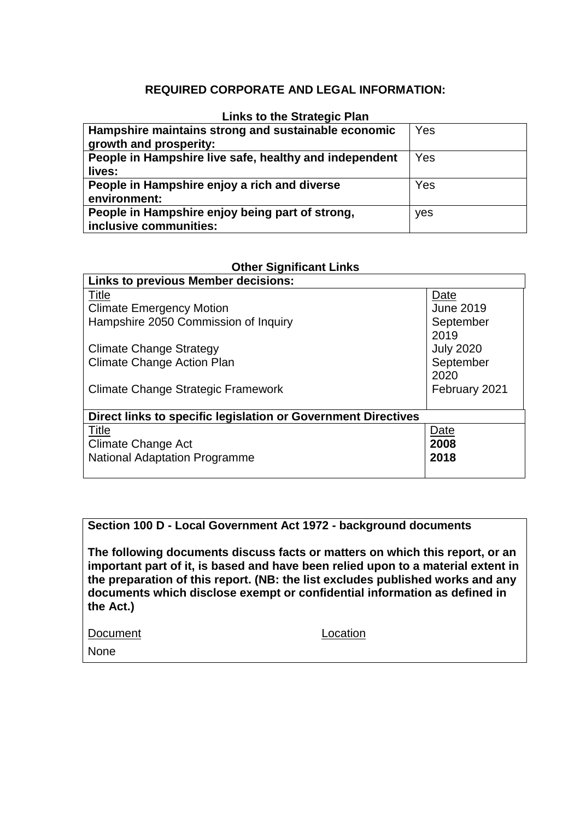## **REQUIRED CORPORATE AND LEGAL INFORMATION:**

#### **Links to the Strategic Plan**

| Hampshire maintains strong and sustainable economic<br>growth and prosperity: | Yes |
|-------------------------------------------------------------------------------|-----|
| People in Hampshire live safe, healthy and independent<br>lives:              | Yes |
| People in Hampshire enjoy a rich and diverse<br>environment:                  | Yes |
| People in Hampshire enjoy being part of strong,<br>inclusive communities:     | yes |

### **Other Significant Links**

| <b>Links to previous Member decisions:</b>                    |                  |  |  |
|---------------------------------------------------------------|------------------|--|--|
| Title                                                         | Date             |  |  |
| <b>Climate Emergency Motion</b>                               | <b>June 2019</b> |  |  |
| Hampshire 2050 Commission of Inquiry                          | September        |  |  |
|                                                               | 2019             |  |  |
| <b>Climate Change Strategy</b>                                | <b>July 2020</b> |  |  |
| <b>Climate Change Action Plan</b>                             | September        |  |  |
|                                                               | 2020             |  |  |
| Climate Change Strategic Framework                            | February 2021    |  |  |
|                                                               |                  |  |  |
| Direct links to specific legislation or Government Directives |                  |  |  |
| <b>Title</b>                                                  | Date             |  |  |
| Climate Change Act                                            | 2008             |  |  |
| <b>National Adaptation Programme</b>                          | 2018             |  |  |
|                                                               |                  |  |  |

#### **Section 100 D - Local Government Act 1972 - background documents**

**The following documents discuss facts or matters on which this report, or an important part of it, is based and have been relied upon to a material extent in the preparation of this report. (NB: the list excludes published works and any documents which disclose exempt or confidential information as defined in the Act.)**

Document Location

None